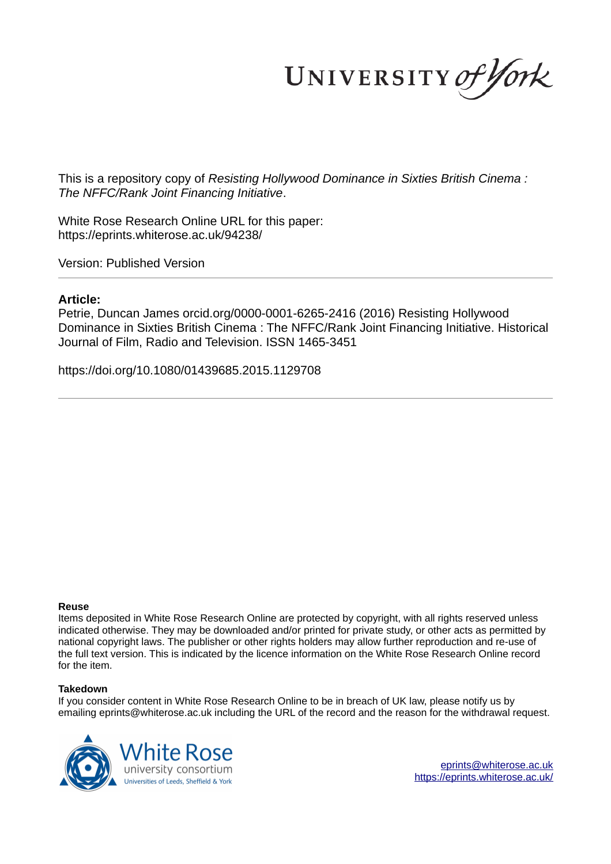UNIVERSITY of York

This is a repository copy of *Resisting Hollywood Dominance in Sixties British Cinema : The NFFC/Rank Joint Financing Initiative*.

White Rose Research Online URL for this paper: https://eprints.whiterose.ac.uk/94238/

Version: Published Version

### **Article:**

Petrie, Duncan James orcid.org/0000-0001-6265-2416 (2016) Resisting Hollywood Dominance in Sixties British Cinema : The NFFC/Rank Joint Financing Initiative. Historical Journal of Film, Radio and Television. ISSN 1465-3451

https://doi.org/10.1080/01439685.2015.1129708

#### **Reuse**

Items deposited in White Rose Research Online are protected by copyright, with all rights reserved unless indicated otherwise. They may be downloaded and/or printed for private study, or other acts as permitted by national copyright laws. The publisher or other rights holders may allow further reproduction and re-use of the full text version. This is indicated by the licence information on the White Rose Research Online record for the item.

#### **Takedown**

If you consider content in White Rose Research Online to be in breach of UK law, please notify us by emailing eprints@whiterose.ac.uk including the URL of the record and the reason for the withdrawal request.



eprints@whiterose.ac.uk https://eprints.whiterose.ac.uk/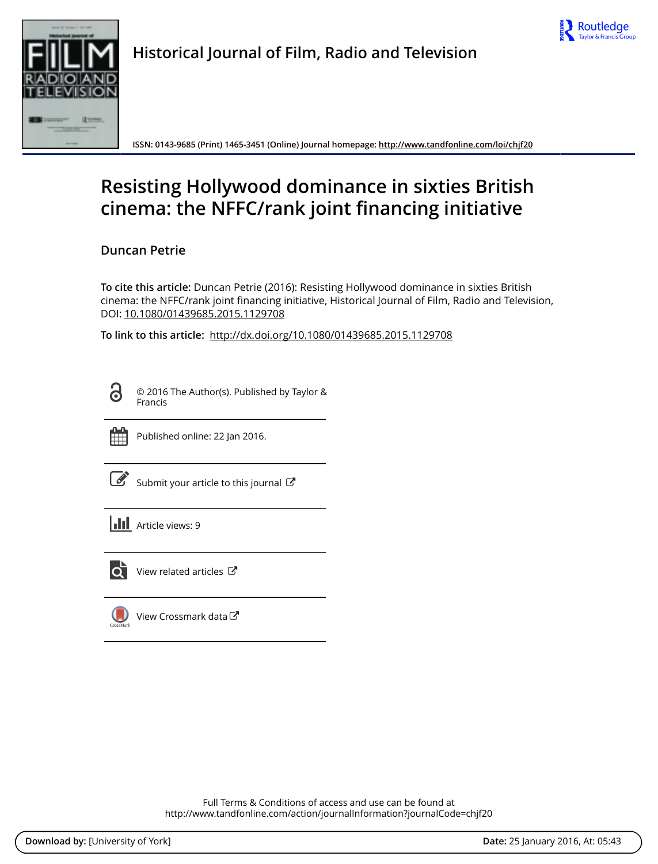



**Historical Journal of Film, Radio and Television**

**ISSN: 0143-9685 (Print) 1465-3451 (Online) Journal homepage: http://www.tandfonline.com/loi/chjf20**

# **Resisting Hollywood dominance in sixties British cinema: the NFFC/rank joint financing initiative**

**Duncan Petrie**

**To cite this article:** Duncan Petrie (2016): Resisting Hollywood dominance in sixties British cinema: the NFFC/rank joint financing initiative, Historical Journal of Film, Radio and Television, DOI: 10.1080/01439685.2015.1129708

**To link to this article:** http://dx.doi.org/10.1080/01439685.2015.1129708

ര

© 2016 The Author(s). Published by Taylor & Francis



Published online: 22 Jan 2016.

Submit your article to this journal  $\mathbb{Z}$ 





View related articles C

View Crossmark data

Full Terms & Conditions of access and use can be found at http://www.tandfonline.com/action/journalInformation?journalCode=chjf20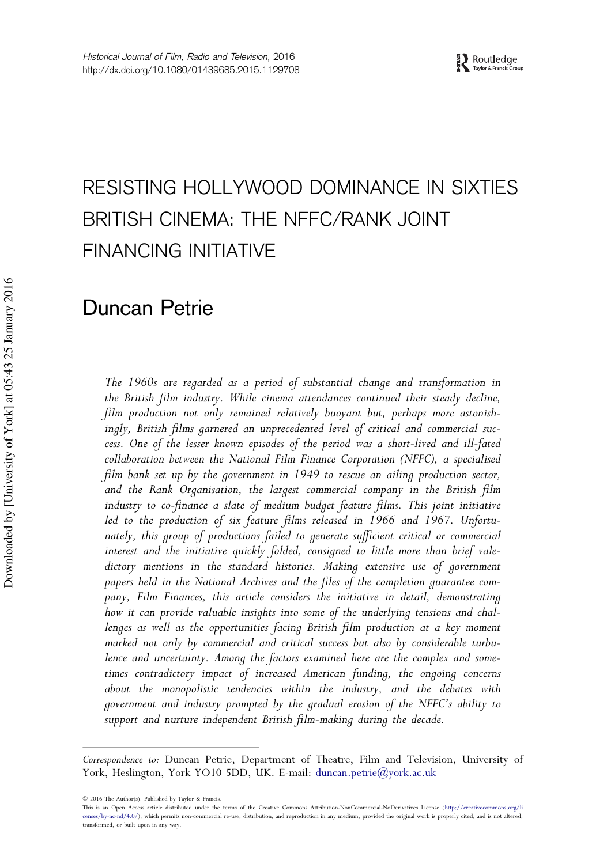# RESISTING HOLLYWOOD DOMINANCE IN SIXTIES BRITISH CINEMA: THE NFFC/RANK JOINT FINANCING INITIATIVE

## Duncan Petrie

*The 1960s are regarded as a period of substantial change and transformation in the British film industry. While cinema attendances continued their steady decline, film production not only remained relatively buoyant but, perhaps more astonishingly, British films garnered an unprecedented level of critical and commercial success. One of the lesser known episodes of the period was a short-lived and ill-fated collaboration between the National Film Finance Corporation (NFFC), a specialised film bank set up by the government in 1949 to rescue an ailing production sector, and the Rank Organisation, the largest commercial company in the British film industry to co-finance a slate of medium budget feature films. This joint initiative led to the production of six feature films released in 1966 and 1967. Unfortunately, this group of productions failed to generate sufficient critical or commercial interest and the initiative quickly folded, consigned to little more than brief valedictory mentions in the standard histories. Making extensive use of government papers held in the National Archives and the files of the completion guarantee company, Film Finances, this article considers the initiative in detail, demonstrating how it can provide valuable insights into some of the underlying tensions and challenges as well as the opportunities facing British film production at a key moment marked not only by commercial and critical success but also by considerable turbulence and uncertainty. Among the factors examined here are the complex and sometimes contradictory impact of increased American funding, the ongoing concerns about the monopolistic tendencies within the industry, and the debates with government and industry prompted by the gradual erosion of the NFFC's ability to support and nurture independent British film-making during the decade.*

*Correspondence to:* Duncan Petrie, Department of Theatre, Film and Television, University of York, Heslington, York YO10 5DD, UK. E-mail: duncan.petrie@york.ac.uk

 $\mathbb{O}$ 2016 The Author(s). Published by Taylor & Francis

This is an Open Access article distributed under the terms of the Creative Commons Attribution-NonCommercial-NoDerivatives License (http://creativecommons.org/h<br>censes/by-nc-nd/4.0/), which permits non-commercial re-use, d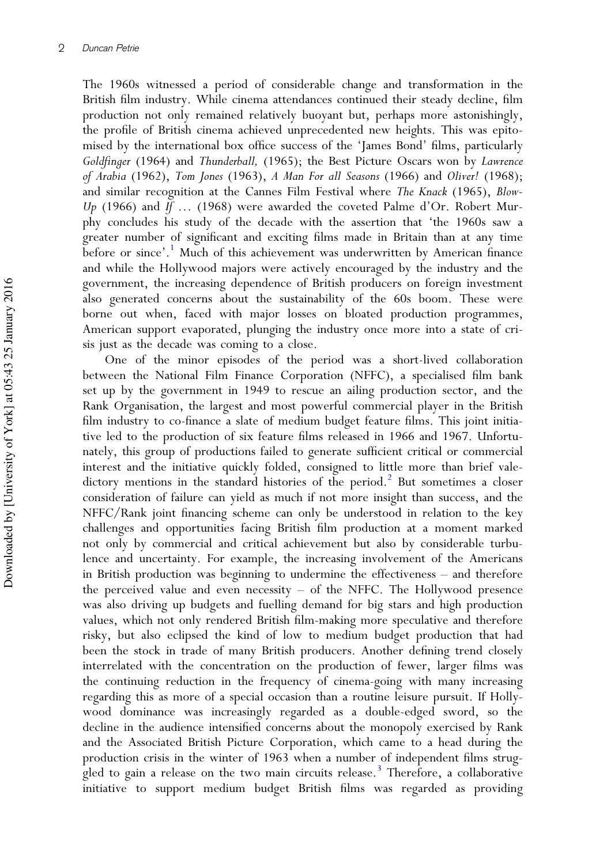The 1960s witnessed a period of considerable change and transformation in the British film industry. While cinema attendances continued their steady decline, film production not only remained relatively buoyant but, perhaps more astonishingly, the profile of British cinema achieved unprecedented new heights. This was epitomised by the international box office success of the 'James Bond' films, particularly *Goldfinger* (1964) and *Thunderball,* (1965); the Best Picture Oscars won by *Lawrence of Arabia* (1962), *Tom Jones* (1963), *A Man For all Seasons* (1966) and *Oliver!* (1968); and similar recognition at the Cannes Film Festival where *The Knack* (1965), *Blow*-*Up* (1966) and *If* … (1968) were awarded the coveted Palme d'Or. Robert Murphy concludes his study of the decade with the assertion that 'the 1960s saw a greater number of significant and exciting films made in Britain than at any time before or since'.<sup>1</sup> Much of this achievement was underwritten by American finance and while the Hollywood majors were actively encouraged by the industry and the government, the increasing dependence of British producers on foreign investment also generated concerns about the sustainability of the 60s boom. These were borne out when, faced with major losses on bloated production programmes, American support evaporated, plunging the industry once more into a state of crisis just as the decade was coming to a close.

One of the minor episodes of the period was a short-lived collaboration between the National Film Finance Corporation (NFFC), a specialised film bank set up by the government in 1949 to rescue an ailing production sector, and the Rank Organisation, the largest and most powerful commercial player in the British film industry to co-finance a slate of medium budget feature films. This joint initiative led to the production of six feature films released in 1966 and 1967. Unfortunately, this group of productions failed to generate sufficient critical or commercial interest and the initiative quickly folded, consigned to little more than brief valedictory mentions in the standard histories of the period.<sup>2</sup> But sometimes a closer consideration of failure can yield as much if not more insight than success, and the NFFC/Rank joint financing scheme can only be understood in relation to the key challenges and opportunities facing British film production at a moment marked not only by commercial and critical achievement but also by considerable turbulence and uncertainty. For example, the increasing involvement of the Americans in British production was beginning to undermine the effectiveness – and therefore the perceived value and even necessity – of the NFFC. The Hollywood presence was also driving up budgets and fuelling demand for big stars and high production values, which not only rendered British film-making more speculative and therefore risky, but also eclipsed the kind of low to medium budget production that had been the stock in trade of many British producers. Another defining trend closely interrelated with the concentration on the production of fewer, larger films was the continuing reduction in the frequency of cinema-going with many increasing regarding this as more of a special occasion than a routine leisure pursuit. If Hollywood dominance was increasingly regarded as a double-edged sword, so the decline in the audience intensified concerns about the monopoly exercised by Rank and the Associated British Picture Corporation, which came to a head during the production crisis in the winter of 1963 when a number of independent films strugeld to gain a release on the two main circuits release.<sup>3</sup> Therefore, a collaborative initiative to support medium budget British films was regarded as providing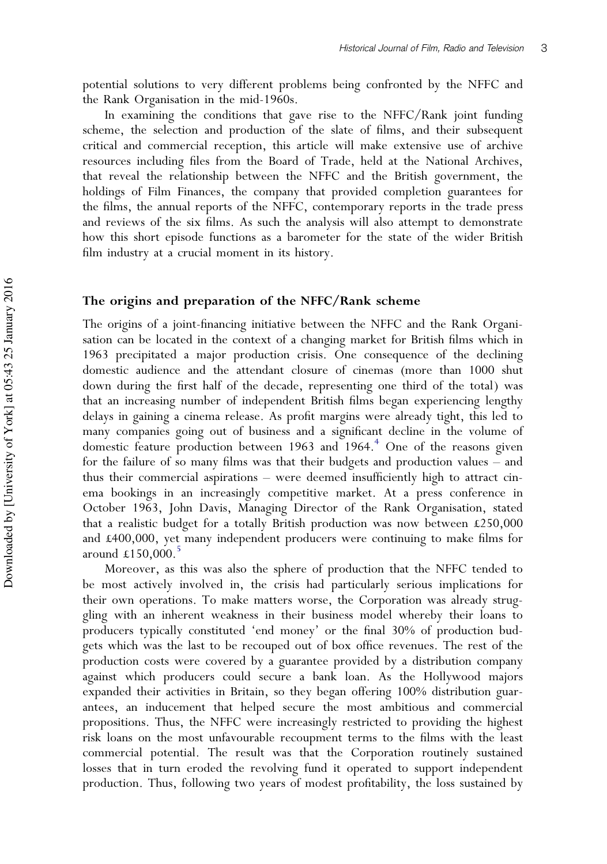potential solutions to very different problems being confronted by the NFFC and the Rank Organisation in the mid-1960s.

In examining the conditions that gave rise to the NFFC/Rank joint funding scheme, the selection and production of the slate of films, and their subsequent critical and commercial reception, this article will make extensive use of archive resources including files from the Board of Trade, held at the National Archives, that reveal the relationship between the NFFC and the British government, the holdings of Film Finances, the company that provided completion guarantees for the films, the annual reports of the NFFC, contemporary reports in the trade press and reviews of the six films. As such the analysis will also attempt to demonstrate how this short episode functions as a barometer for the state of the wider British film industry at a crucial moment in its history.

#### The origins and preparation of the NFFC/Rank scheme

The origins of a joint-financing initiative between the NFFC and the Rank Organisation can be located in the context of a changing market for British films which in 1963 precipitated a major production crisis. One consequence of the declining domestic audience and the attendant closure of cinemas (more than 1000 shut down during the first half of the decade, representing one third of the total) was that an increasing number of independent British films began experiencing lengthy delays in gaining a cinema release. As profit margins were already tight, this led to many companies going out of business and a significant decline in the volume of domestic feature production between 1963 and 1964.<sup>4</sup> One of the reasons given for the failure of so many films was that their budgets and production values – and thus their commercial aspirations – were deemed insufficiently high to attract cinema bookings in an increasingly competitive market. At a press conference in October 1963, John Davis, Managing Director of the Rank Organisation, stated that a realistic budget for a totally British production was now between £250,000 and £400,000, yet many independent producers were continuing to make films for around  $£150,000.5$ 

Moreover, as this was also the sphere of production that the NFFC tended to be most actively involved in, the crisis had particularly serious implications for their own operations. To make matters worse, the Corporation was already struggling with an inherent weakness in their business model whereby their loans to producers typically constituted 'end money' or the final 30% of production budgets which was the last to be recouped out of box office revenues. The rest of the production costs were covered by a guarantee provided by a distribution company against which producers could secure a bank loan. As the Hollywood majors expanded their activities in Britain, so they began offering 100% distribution guarantees, an inducement that helped secure the most ambitious and commercial propositions. Thus, the NFFC were increasingly restricted to providing the highest risk loans on the most unfavourable recoupment terms to the films with the least commercial potential. The result was that the Corporation routinely sustained losses that in turn eroded the revolving fund it operated to support independent production. Thus, following two years of modest profitability, the loss sustained by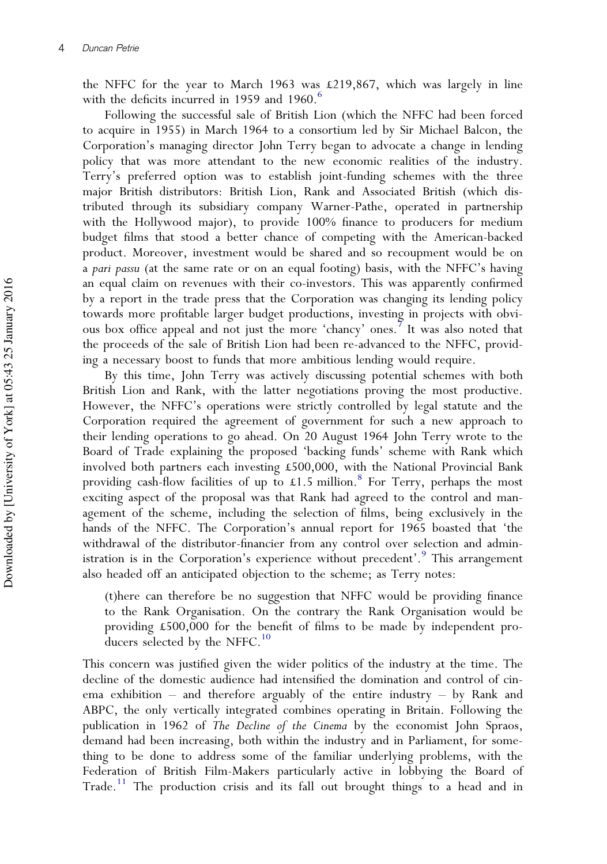the NFFC for the year to March 1963 was £219,867, which was largely in line with the deficits incurred in 1959 and 1960.<sup>6</sup>

Following the successful sale of British Lion (which the NFFC had been forced to acquire in 1955) in March 1964 to a consortium led by Sir Michael Balcon, the Corporation's managing director John Terry began to advocate a change in lending policy that was more attendant to the new economic realities of the industry. Terry's preferred option was to establish joint-funding schemes with the three major British distributors: British Lion, Rank and Associated British (which distributed through its subsidiary company Warner-Pathe, operated in partnership with the Hollywood major), to provide 100% finance to producers for medium budget films that stood a better chance of competing with the American-backed product. Moreover, investment would be shared and so recoupment would be on a *pari passu* (at the same rate or on an equal footing) basis, with the NFFC's having an equal claim on revenues with their co-investors. This was apparently confirmed by a report in the trade press that the Corporation was changing its lending policy towards more profitable larger budget productions, investing in projects with obvious box office appeal and not just the more 'chancy' ones.<sup>7</sup> It was also noted that the proceeds of the sale of British Lion had been re-advanced to the NFFC, providing a necessary boost to funds that more ambitious lending would require.

By this time, John Terry was actively discussing potential schemes with both British Lion and Rank, with the latter negotiations proving the most productive. However, the NFFC's operations were strictly controlled by legal statute and the Corporation required the agreement of government for such a new approach to their lending operations to go ahead. On 20 August 1964 John Terry wrote to the Board of Trade explaining the proposed 'backing funds' scheme with Rank which involved both partners each investing £500,000, with the National Provincial Bank providing cash-flow facilities of up to £1.5 million.<sup>8</sup> For Terry, perhaps the most exciting aspect of the proposal was that Rank had agreed to the control and management of the scheme, including the selection of films, being exclusively in the hands of the NFFC. The Corporation's annual report for 1965 boasted that 'the withdrawal of the distributor-financier from any control over selection and administration is in the Corporation's experience without precedent'.<sup>9</sup> This arrangement also headed off an anticipated objection to the scheme; as Terry notes:

(t)here can therefore be no suggestion that NFFC would be providing finance to the Rank Organisation. On the contrary the Rank Organisation would be providing £500,000 for the benefit of films to be made by independent producers selected by the NFFC.<sup>10</sup>

This concern was justified given the wider politics of the industry at the time. The decline of the domestic audience had intensified the domination and control of cinema exhibition – and therefore arguably of the entire industry – by Rank and ABPC, the only vertically integrated combines operating in Britain. Following the publication in 1962 of *The Decline of the Cinema* by the economist John Spraos, demand had been increasing, both within the industry and in Parliament, for something to be done to address some of the familiar underlying problems, with the Federation of British Film-Makers particularly active in lobbying the Board of Trade.<sup>11</sup> The production crisis and its fall out brought things to a head and in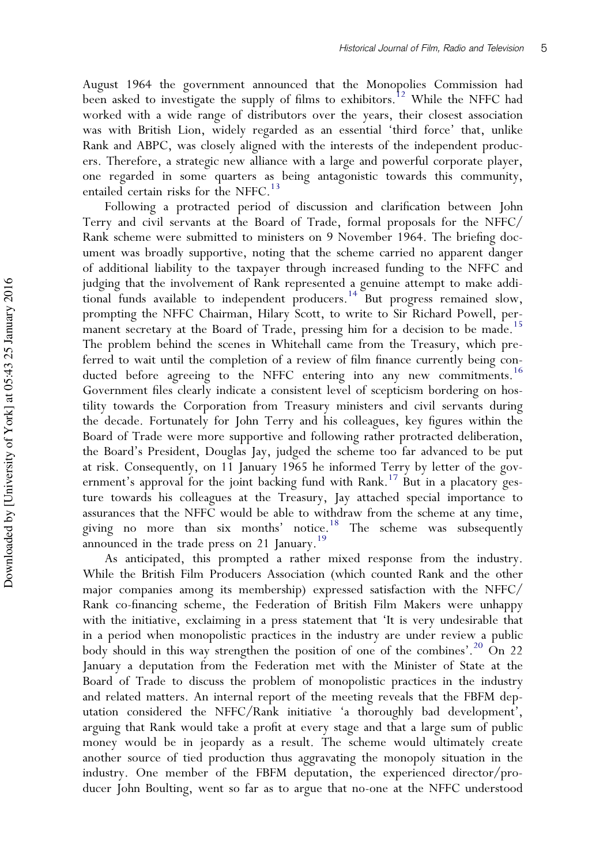August 1964 the government announced that the Monopolies Commission had been asked to investigate the supply of films to exhibitors.<sup>12</sup> While the NFFC had worked with a wide range of distributors over the years, their closest association was with British Lion, widely regarded as an essential 'third force' that, unlike Rank and ABPC, was closely aligned with the interests of the independent producers. Therefore, a strategic new alliance with a large and powerful corporate player, one regarded in some quarters as being antagonistic towards this community, entailed certain risks for the NFFC.<sup>13</sup>

Following a protracted period of discussion and clarification between John Terry and civil servants at the Board of Trade, formal proposals for the NFFC/ Rank scheme were submitted to ministers on 9 November 1964. The briefing document was broadly supportive, noting that the scheme carried no apparent danger of additional liability to the taxpayer through increased funding to the NFFC and judging that the involvement of Rank represented a genuine attempt to make additional funds available to independent producers.<sup>14</sup> But progress remained slow, prompting the NFFC Chairman, Hilary Scott, to write to Sir Richard Powell, permanent secretary at the Board of Trade, pressing him for a decision to be made.<sup>15</sup> The problem behind the scenes in Whitehall came from the Treasury, which preferred to wait until the completion of a review of film finance currently being conducted before agreeing to the NFFC entering into any new commitments.<sup>16</sup> Government files clearly indicate a consistent level of scepticism bordering on hostility towards the Corporation from Treasury ministers and civil servants during the decade. Fortunately for John Terry and his colleagues, key figures within the Board of Trade were more supportive and following rather protracted deliberation, the Board's President, Douglas Jay, judged the scheme too far advanced to be put at risk. Consequently, on 11 January 1965 he informed Terry by letter of the government's approval for the joint backing fund with Rank.<sup>17</sup> But in a placatory gesture towards his colleagues at the Treasury, Jay attached special importance to assurances that the NFFC would be able to withdraw from the scheme at any time, giving no more than six months' notice.<sup>18</sup> The scheme was subsequently announced in the trade press on 21 January.<sup>19</sup>

As anticipated, this prompted a rather mixed response from the industry. While the British Film Producers Association (which counted Rank and the other major companies among its membership) expressed satisfaction with the NFFC/ Rank co-financing scheme, the Federation of British Film Makers were unhappy with the initiative, exclaiming in a press statement that 'It is very undesirable that in a period when monopolistic practices in the industry are under review a public body should in this way strengthen the position of one of the combines'.<sup>20</sup> On 22 January a deputation from the Federation met with the Minister of State at the Board of Trade to discuss the problem of monopolistic practices in the industry and related matters. An internal report of the meeting reveals that the FBFM deputation considered the NFFC/Rank initiative 'a thoroughly bad development', arguing that Rank would take a profit at every stage and that a large sum of public money would be in jeopardy as a result. The scheme would ultimately create another source of tied production thus aggravating the monopoly situation in the industry. One member of the FBFM deputation, the experienced director/producer John Boulting, went so far as to argue that no-one at the NFFC understood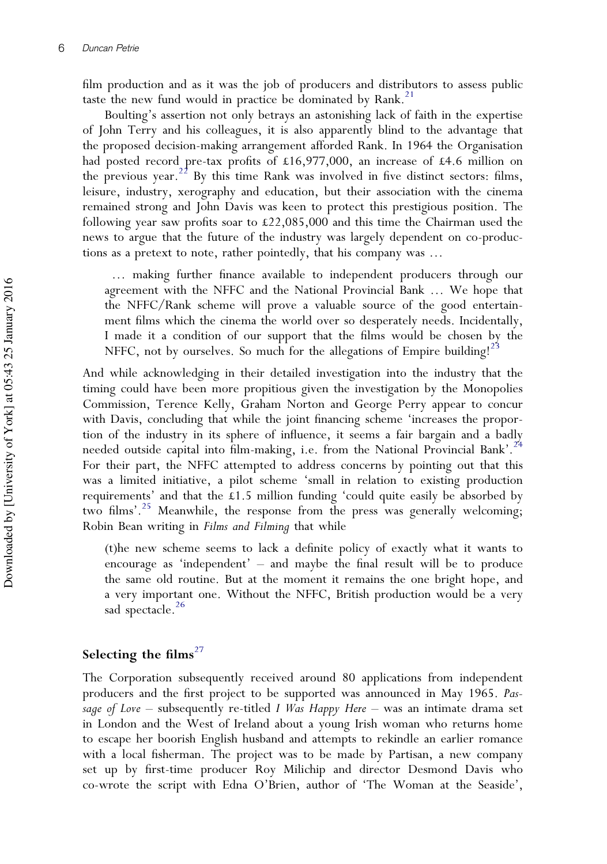film production and as it was the job of producers and distributors to assess public taste the new fund would in practice be dominated by Rank.<sup>21</sup>

Boulting's assertion not only betrays an astonishing lack of faith in the expertise of John Terry and his colleagues, it is also apparently blind to the advantage that the proposed decision-making arrangement afforded Rank. In 1964 the Organisation had posted record pre-tax profits of £16,977,000, an increase of £4.6 million on the previous year.<sup>22</sup> By this time Rank was involved in five distinct sectors: films, leisure, industry, xerography and education, but their association with the cinema remained strong and John Davis was keen to protect this prestigious position. The following year saw profits soar to £22,085,000 and this time the Chairman used the news to argue that the future of the industry was largely dependent on co-productions as a pretext to note, rather pointedly, that his company was …

… making further finance available to independent producers through our agreement with the NFFC and the National Provincial Bank … We hope that the NFFC/Rank scheme will prove a valuable source of the good entertainment films which the cinema the world over so desperately needs. Incidentally, I made it a condition of our support that the films would be chosen by the NFFC, not by ourselves. So much for the allegations of Empire building!<sup>23</sup>

And while acknowledging in their detailed investigation into the industry that the timing could have been more propitious given the investigation by the Monopolies Commission, Terence Kelly, Graham Norton and George Perry appear to concur with Davis, concluding that while the joint financing scheme 'increases the proportion of the industry in its sphere of influence, it seems a fair bargain and a badly needed outside capital into film-making, i.e. from the National Provincial Bank'.<sup>24</sup> For their part, the NFFC attempted to address concerns by pointing out that this was a limited initiative, a pilot scheme 'small in relation to existing production requirements' and that the  $\pounds$ 1.5 million funding 'could quite easily be absorbed by two films'.<sup>25</sup> Meanwhile, the response from the press was generally welcoming; Robin Bean writing in *Films and Filming* that while

(t)he new scheme seems to lack a definite policy of exactly what it wants to encourage as 'independent' – and maybe the final result will be to produce the same old routine. But at the moment it remains the one bright hope, and a very important one. Without the NFFC, British production would be a very sad spectacle.<sup>26</sup>

### Selecting the films $^{27}$

The Corporation subsequently received around 80 applications from independent producers and the first project to be supported was announced in May 1965. *Passage of Love* – subsequently re-titled *I Was Happy Here* – was an intimate drama set in London and the West of Ireland about a young Irish woman who returns home to escape her boorish English husband and attempts to rekindle an earlier romance with a local fisherman. The project was to be made by Partisan, a new company set up by first-time producer Roy Milichip and director Desmond Davis who co-wrote the script with Edna O'Brien, author of 'The Woman at the Seaside',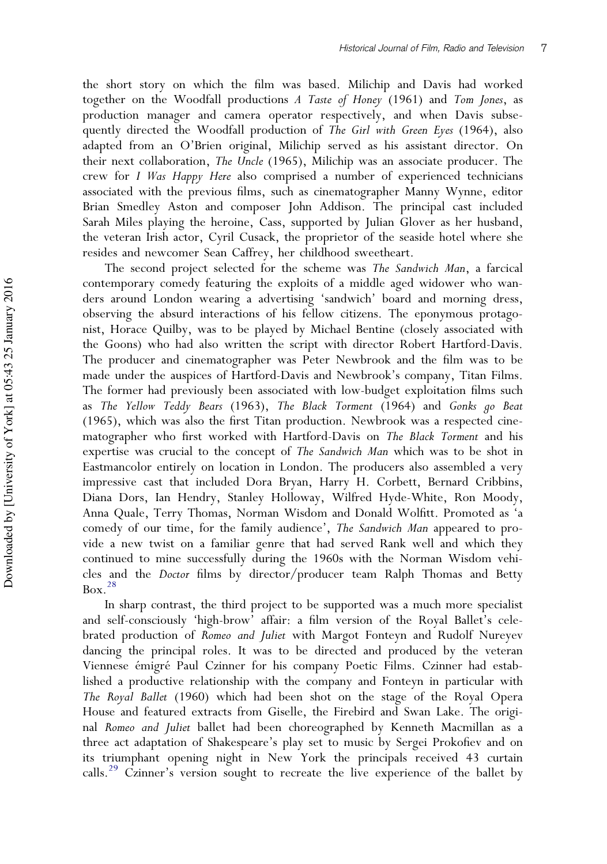the short story on which the film was based. Milichip and Davis had worked together on the Woodfall productions *A Taste of Honey* (1961) and *Tom Jones*, as production manager and camera operator respectively, and when Davis subsequently directed the Woodfall production of *The Girl with Green Eyes* (1964), also adapted from an O'Brien original, Milichip served as his assistant director. On their next collaboration, *The Uncle* (1965), Milichip was an associate producer. The crew for *I Was Happy Here* also comprised a number of experienced technicians associated with the previous films, such as cinematographer Manny Wynne, editor Brian Smedley Aston and composer John Addison. The principal cast included Sarah Miles playing the heroine, Cass, supported by Julian Glover as her husband, the veteran Irish actor, Cyril Cusack, the proprietor of the seaside hotel where she resides and newcomer Sean Caffrey, her childhood sweetheart.

The second project selected for the scheme was *The Sandwich Man*, a farcical contemporary comedy featuring the exploits of a middle aged widower who wanders around London wearing a advertising 'sandwich' board and morning dress, observing the absurd interactions of his fellow citizens. The eponymous protagonist, Horace Quilby, was to be played by Michael Bentine (closely associated with the Goons) who had also written the script with director Robert Hartford-Davis. The producer and cinematographer was Peter Newbrook and the film was to be made under the auspices of Hartford-Davis and Newbrook's company, Titan Films. The former had previously been associated with low-budget exploitation films such as *The Yellow Teddy Bears* (1963), *The Black Torment* (1964) and *Gonks go Beat* (1965), which was also the first Titan production. Newbrook was a respected cinematographer who first worked with Hartford-Davis on *The Black Torment* and his expertise was crucial to the concept of *The Sandwich Man* which was to be shot in Eastmancolor entirely on location in London. The producers also assembled a very impressive cast that included Dora Bryan, Harry H. Corbett, Bernard Cribbins, Diana Dors, Ian Hendry, Stanley Holloway, Wilfred Hyde-White, Ron Moody, Anna Quale, Terry Thomas, Norman Wisdom and Donald Wolfitt. Promoted as 'a comedy of our time, for the family audience', *The Sandwich Man* appeared to provide a new twist on a familiar genre that had served Rank well and which they continued to mine successfully during the 1960s with the Norman Wisdom vehicles and the *Doctor* films by director/producer team Ralph Thomas and Betty  $Box<sup>.28</sup>$ 

In sharp contrast, the third project to be supported was a much more specialist and self-consciously 'high-brow' affair: a film version of the Royal Ballet's celebrated production of *Romeo and Juliet* with Margot Fonteyn and Rudolf Nureyev dancing the principal roles. It was to be directed and produced by the veteran Viennese émigré Paul Czinner for his company Poetic Films. Czinner had established a productive relationship with the company and Fonteyn in particular with *The Royal Ballet* (1960) which had been shot on the stage of the Royal Opera House and featured extracts from Giselle, the Firebird and Swan Lake. The original *Romeo and Juliet* ballet had been choreographed by Kenneth Macmillan as a three act adaptation of Shakespeare's play set to music by Sergei Prokofiev and on its triumphant opening night in New York the principals received 43 curtain calls.<sup>29</sup> Czinner's version sought to recreate the live experience of the ballet by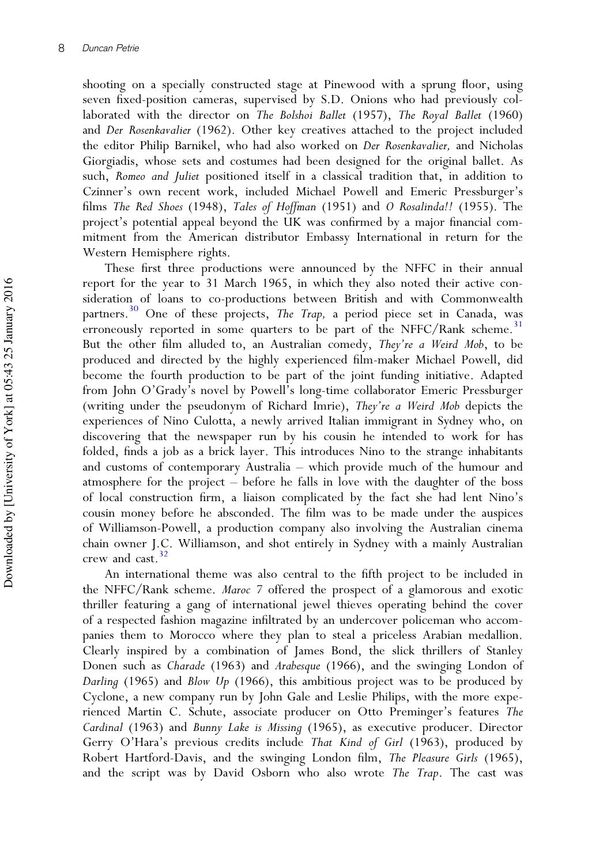shooting on a specially constructed stage at Pinewood with a sprung floor, using seven fixed-position cameras, supervised by S.D. Onions who had previously collaborated with the director on *The Bolshoi Ballet* (1957), *The Royal Ballet* (1960) and *Der Rosenkavalier* (1962). Other key creatives attached to the project included the editor Philip Barnikel, who had also worked on *Der Rosenkavalier,* and Nicholas Giorgiadis, whose sets and costumes had been designed for the original ballet. As such, *Romeo and Juliet* positioned itself in a classical tradition that, in addition to Czinner's own recent work, included Michael Powell and Emeric Pressburger's films *The Red Shoes* (1948), *Tales of Hoffman* (1951) and *O Rosalinda!!* (1955). The project's potential appeal beyond the UK was confirmed by a major financial commitment from the American distributor Embassy International in return for the Western Hemisphere rights.

These first three productions were announced by the NFFC in their annual report for the year to 31 March 1965, in which they also noted their active consideration of loans to co-productions between British and with Commonwealth partners.<sup>30</sup> One of these projects, *The Trap,* a period piece set in Canada, was erroneously reported in some quarters to be part of the NFFC/Rank scheme.<sup>31</sup> But the other film alluded to, an Australian comedy, *They're a Weird Mob*, to be produced and directed by the highly experienced film-maker Michael Powell, did become the fourth production to be part of the joint funding initiative. Adapted from John O'Grady's novel by Powell's long-time collaborator Emeric Pressburger (writing under the pseudonym of Richard Imrie), *They're a Weird Mob* depicts the experiences of Nino Culotta, a newly arrived Italian immigrant in Sydney who, on discovering that the newspaper run by his cousin he intended to work for has folded, finds a job as a brick layer. This introduces Nino to the strange inhabitants and customs of contemporary Australia – which provide much of the humour and atmosphere for the project – before he falls in love with the daughter of the boss of local construction firm, a liaison complicated by the fact she had lent Nino's cousin money before he absconded. The film was to be made under the auspices of Williamson-Powell, a production company also involving the Australian cinema chain owner J.C. Williamson, and shot entirely in Sydney with a mainly Australian crew and cast.<sup>32</sup>

An international theme was also central to the fifth project to be included in the NFFC/Rank scheme. *Maroc 7* offered the prospect of a glamorous and exotic thriller featuring a gang of international jewel thieves operating behind the cover of a respected fashion magazine infiltrated by an undercover policeman who accompanies them to Morocco where they plan to steal a priceless Arabian medallion. Clearly inspired by a combination of James Bond, the slick thrillers of Stanley Donen such as *Charade* (1963) and *Arabesque* (1966), and the swinging London of *Darling* (1965) and *Blow Up* (1966), this ambitious project was to be produced by Cyclone, a new company run by John Gale and Leslie Philips, with the more experienced Martin C. Schute, associate producer on Otto Preminger's features *The Cardinal* (1963) and *Bunny Lake is Missing* (1965), as executive producer. Director Gerry O'Hara's previous credits include *That Kind of Girl* (1963), produced by Robert Hartford-Davis, and the swinging London film, *The Pleasure Girls* (1965), and the script was by David Osborn who also wrote *The Trap*. The cast was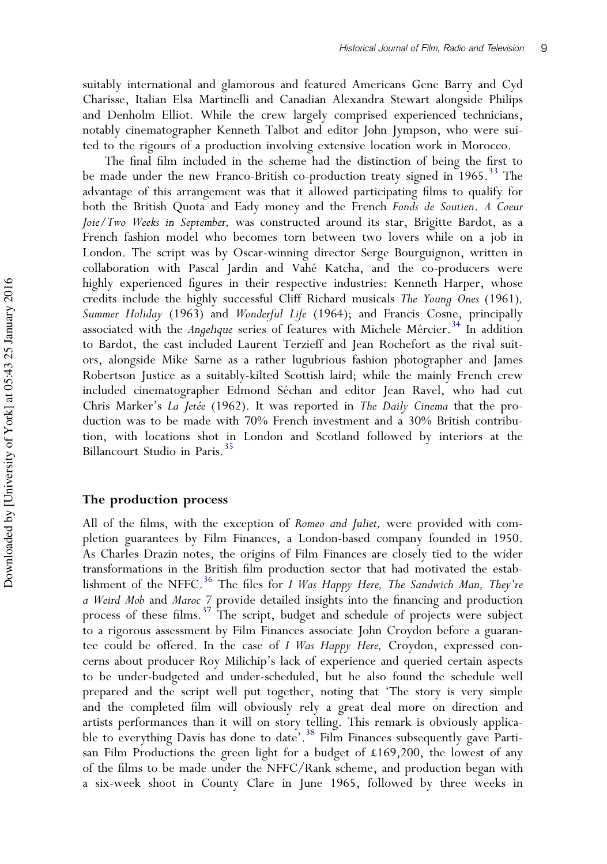suitably international and glamorous and featured Americans Gene Barry and Cyd Charisse, Italian Elsa Martinelli and Canadian Alexandra Stewart alongside Philips and Denholm Elliot. While the crew largely comprised experienced technicians, notably cinematographer Kenneth Talbot and editor John Jympson, who were suited to the rigours of a production involving extensive location work in Morocco.

The final film included in the scheme had the distinction of being the first to be made under the new Franco-British co-production treaty signed in 1965.<sup>33</sup> The advantage of this arrangement was that it allowed participating films to qualify for both the British Quota and Eady money and the French *Fonds de Soutien*. *A Coeur Joie/Two Weeks in September,* was constructed around its star, Brigitte Bardot, as a French fashion model who becomes torn between two lovers while on a job in London. The script was by Oscar-winning director Serge Bourguignon, written in collaboration with Pascal Jardin and Vahé Katcha, and the co-producers were highly experienced figures in their respective industries: Kenneth Harper, whose credits include the highly successful Cliff Richard musicals *The Young Ones* (1961)*, Summer Holiday* (1963) and *Wonderful Life* (1964); and Francis Cosne, principally associated with the *Angelique* series of features with Michele Mércier.<sup>34</sup> In addition to Bardot, the cast included Laurent Terzieff and Jean Rochefort as the rival suitors, alongside Mike Sarne as a rather lugubrious fashion photographer and James Robertson Justice as a suitably-kilted Scottish laird; while the mainly French crew included cinematographer Edmond Séchan and editor Jean Ravel, who had cut Chris Marker's *La Jet*é*e* (1962). It was reported in *The Daily Cinema* that the production was to be made with 70% French investment and a 30% British contribution, with locations shot in London and Scotland followed by interiors at the Billancourt Studio in Paris.<sup>35</sup>

#### The production process

All of the films, with the exception of *Romeo and Juliet,* were provided with completion guarantees by Film Finances, a London-based company founded in 1950. As Charles Drazin notes, the origins of Film Finances are closely tied to the wider transformations in the British film production sector that had motivated the establishment of the NFFC.<sup>36</sup> The files for *I Was Happy Here, The Sandwich Man, They're a Weird Mob* and *Maroc 7* provide detailed insights into the financing and production process of these films.<sup>37</sup> The script, budget and schedule of projects were subject to a rigorous assessment by Film Finances associate John Croydon before a guarantee could be offered. In the case of *I Was Happy Here,* Croydon, expressed concerns about producer Roy Milichip's lack of experience and queried certain aspects to be under-budgeted and under-scheduled, but he also found the schedule well prepared and the script well put together, noting that 'The story is very simple and the completed film will obviously rely a great deal more on direction and artists performances than it will on story telling. This remark is obviously applicable to everything Davis has done to date'.<sup>38</sup> Film Finances subsequently gave Partisan Film Productions the green light for a budget of £169,200, the lowest of any of the films to be made under the NFFC/Rank scheme, and production began with a six-week shoot in County Clare in June 1965, followed by three weeks in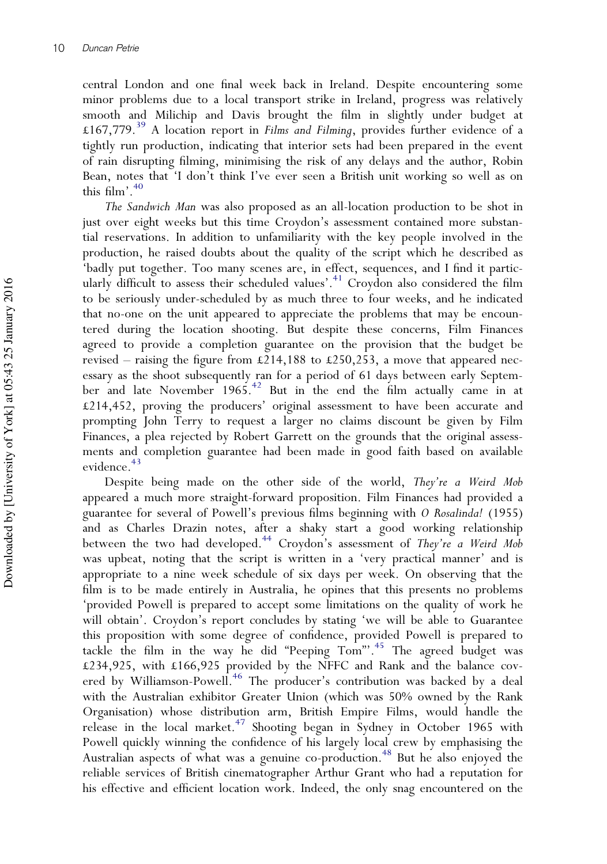central London and one final week back in Ireland. Despite encountering some minor problems due to a local transport strike in Ireland, progress was relatively smooth and Milichip and Davis brought the film in slightly under budget at £167,779.<sup>39</sup> A location report in *Films and Filming*, provides further evidence of a tightly run production, indicating that interior sets had been prepared in the event of rain disrupting filming, minimising the risk of any delays and the author, Robin Bean, notes that 'I don't think I've ever seen a British unit working so well as on this film'.<sup>40</sup>

*The Sandwich Man* was also proposed as an all-location production to be shot in just over eight weeks but this time Croydon's assessment contained more substantial reservations. In addition to unfamiliarity with the key people involved in the production, he raised doubts about the quality of the script which he described as 'badly put together. Too many scenes are, in effect, sequences, and I find it particularly difficult to assess their scheduled values'.<sup>41</sup> Croydon also considered the film to be seriously under-scheduled by as much three to four weeks, and he indicated that no-one on the unit appeared to appreciate the problems that may be encountered during the location shooting. But despite these concerns, Film Finances agreed to provide a completion guarantee on the provision that the budget be revised – raising the figure from £214,188 to £250,253, a move that appeared necessary as the shoot subsequently ran for a period of 61 days between early September and late November 1965.<sup>42</sup> But in the end the film actually came in at £214,452, proving the producers' original assessment to have been accurate and prompting John Terry to request a larger no claims discount be given by Film Finances, a plea rejected by Robert Garrett on the grounds that the original assessments and completion guarantee had been made in good faith based on available evidence.<sup>43</sup>

Despite being made on the other side of the world, *They're a Weird Mob* appeared a much more straight-forward proposition. Film Finances had provided a guarantee for several of Powell's previous films beginning with *O Rosalinda!* (1955) and as Charles Drazin notes, after a shaky start a good working relationship between the two had developed.<sup>44</sup> Croydon's assessment of *They're a Weird Mob* was upbeat, noting that the script is written in a 'very practical manner' and is appropriate to a nine week schedule of six days per week. On observing that the film is to be made entirely in Australia, he opines that this presents no problems 'provided Powell is prepared to accept some limitations on the quality of work he will obtain'. Croydon's report concludes by stating 'we will be able to Guarantee this proposition with some degree of confidence, provided Powell is prepared to tackle the film in the way he did "Peeping Tom".<sup>45</sup> The agreed budget was £234,925, with £166,925 provided by the NFFC and Rank and the balance covered by Williamson-Powell.<sup>46</sup> The producer's contribution was backed by a deal with the Australian exhibitor Greater Union (which was 50% owned by the Rank Organisation) whose distribution arm, British Empire Films, would handle the release in the local market.<sup>47</sup> Shooting began in Sydney in October 1965 with Powell quickly winning the confidence of his largely local crew by emphasising the Australian aspects of what was a genuine co-production.<sup>48</sup> But he also enjoyed the reliable services of British cinematographer Arthur Grant who had a reputation for his effective and efficient location work. Indeed, the only snag encountered on the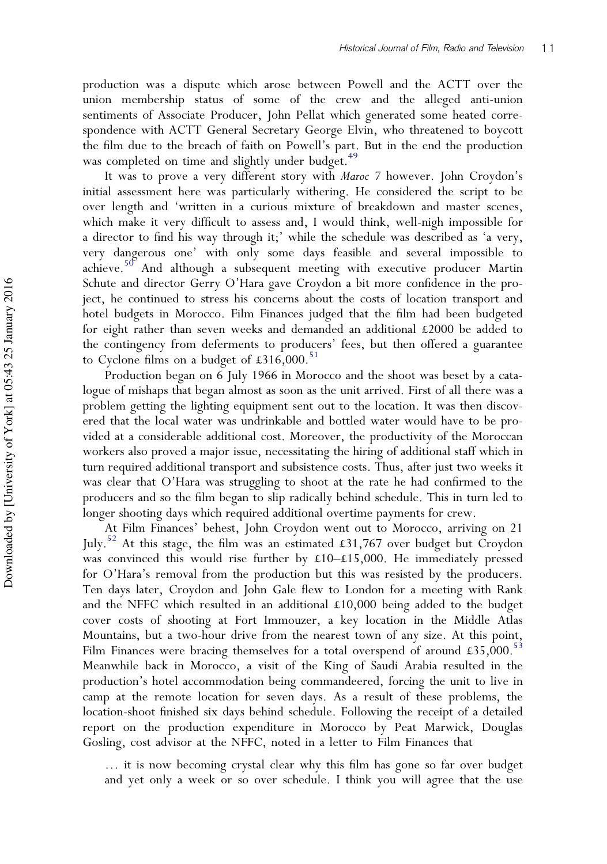production was a dispute which arose between Powell and the ACTT over the union membership status of some of the crew and the alleged anti-union sentiments of Associate Producer, John Pellat which generated some heated correspondence with ACTT General Secretary George Elvin, who threatened to boycott the film due to the breach of faith on Powell's part. But in the end the production was completed on time and slightly under budget.<sup>49</sup>

It was to prove a very different story with *Maroc 7* however. John Croydon's initial assessment here was particularly withering. He considered the script to be over length and 'written in a curious mixture of breakdown and master scenes, which make it very difficult to assess and, I would think, well-nigh impossible for a director to find his way through it;' while the schedule was described as 'a very, very dangerous one' with only some days feasible and several impossible to achieve. $50^{\circ}$  And although a subsequent meeting with executive producer Martin Schute and director Gerry O'Hara gave Croydon a bit more confidence in the project, he continued to stress his concerns about the costs of location transport and hotel budgets in Morocco. Film Finances judged that the film had been budgeted for eight rather than seven weeks and demanded an additional £2000 be added to the contingency from deferments to producers' fees, but then offered a guarantee to Cyclone films on a budget of £316,000.<sup>51</sup>

Production began on 6 July 1966 in Morocco and the shoot was beset by a catalogue of mishaps that began almost as soon as the unit arrived. First of all there was a problem getting the lighting equipment sent out to the location. It was then discovered that the local water was undrinkable and bottled water would have to be provided at a considerable additional cost. Moreover, the productivity of the Moroccan workers also proved a major issue, necessitating the hiring of additional staff which in turn required additional transport and subsistence costs. Thus, after just two weeks it was clear that O'Hara was struggling to shoot at the rate he had confirmed to the producers and so the film began to slip radically behind schedule. This in turn led to longer shooting days which required additional overtime payments for crew.

At Film Finances' behest, John Croydon went out to Morocco, arriving on 21 July.<sup>52</sup> At this stage, the film was an estimated £31,767 over budget but Croydon was convinced this would rise further by £10–£15,000. He immediately pressed for O'Hara's removal from the production but this was resisted by the producers. Ten days later, Croydon and John Gale flew to London for a meeting with Rank and the NFFC which resulted in an additional £10,000 being added to the budget cover costs of shooting at Fort Immouzer, a key location in the Middle Atlas Mountains, but a two-hour drive from the nearest town of any size. At this point, Film Finances were bracing themselves for a total overspend of around £35,000.<sup>53</sup> Meanwhile back in Morocco, a visit of the King of Saudi Arabia resulted in the production's hotel accommodation being commandeered, forcing the unit to live in camp at the remote location for seven days. As a result of these problems, the location-shoot finished six days behind schedule. Following the receipt of a detailed report on the production expenditure in Morocco by Peat Marwick, Douglas Gosling, cost advisor at the NFFC, noted in a letter to Film Finances that

… it is now becoming crystal clear why this film has gone so far over budget and yet only a week or so over schedule. I think you will agree that the use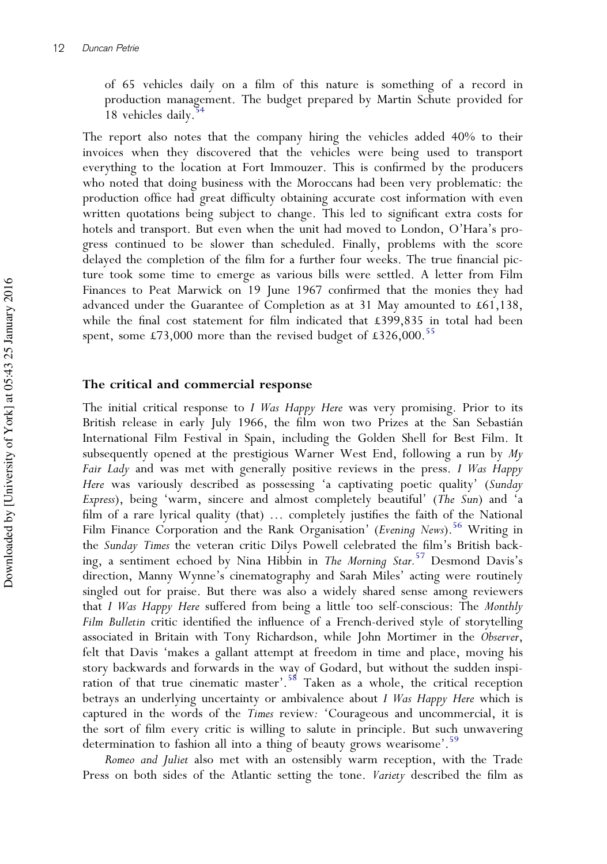of 65 vehicles daily on a film of this nature is something of a record in production management. The budget prepared by Martin Schute provided for 18 vehicles daily. $\frac{3}{5}$ 

The report also notes that the company hiring the vehicles added 40% to their invoices when they discovered that the vehicles were being used to transport everything to the location at Fort Immouzer. This is confirmed by the producers who noted that doing business with the Moroccans had been very problematic: the production office had great difficulty obtaining accurate cost information with even written quotations being subject to change. This led to significant extra costs for hotels and transport. But even when the unit had moved to London, O'Hara's progress continued to be slower than scheduled. Finally, problems with the score delayed the completion of the film for a further four weeks. The true financial picture took some time to emerge as various bills were settled. A letter from Film Finances to Peat Marwick on 19 June 1967 confirmed that the monies they had advanced under the Guarantee of Completion as at 31 May amounted to £61,138, while the final cost statement for film indicated that £399,835 in total had been spent, some £73,000 more than the revised budget of £326,000.<sup>55</sup>

#### The critical and commercial response

The initial critical response to *I Was Happy Here* was very promising. Prior to its British release in early July 1966, the film won two Prizes at the San Sebastián International Film Festival in Spain, including the Golden Shell for Best Film. It subsequently opened at the prestigious Warner West End, following a run by *My Fair Lady* and was met with generally positive reviews in the press. *I Was Happy Here* was variously described as possessing 'a captivating poetic quality' (*Sunday Express*), being 'warm, sincere and almost completely beautiful' (*The Sun*) and 'a film of a rare lyrical quality (that) … completely justifies the faith of the National Film Finance Corporation and the Rank Organisation' (*Evening News*).<sup>56</sup> Writing in the *Sunday Times* the veteran critic Dilys Powell celebrated the film's British backing, a sentiment echoed by Nina Hibbin in *The Morning Star.*<sup>57</sup> Desmond Davis's direction, Manny Wynne's cinematography and Sarah Miles' acting were routinely singled out for praise. But there was also a widely shared sense among reviewers that *I Was Happy Here* suffered from being a little too self-conscious: The *Monthly Film Bulletin* critic identified the influence of a French-derived style of storytelling associated in Britain with Tony Richardson, while John Mortimer in the *Observer*, felt that Davis 'makes a gallant attempt at freedom in time and place, moving his story backwards and forwards in the way of Godard, but without the sudden inspiration of that true cinematic master'.<sup>58</sup> Taken as a whole, the critical reception betrays an underlying uncertainty or ambivalence about *I Was Happy Here* which is captured in the words of the *Times* review*:* 'Courageous and uncommercial, it is the sort of film every critic is willing to salute in principle. But such unwavering determination to fashion all into a thing of beauty grows wearisome'.<sup>59</sup>

*Romeo and Juliet* also met with an ostensibly warm reception, with the Trade Press on both sides of the Atlantic setting the tone. *Variety* described the film as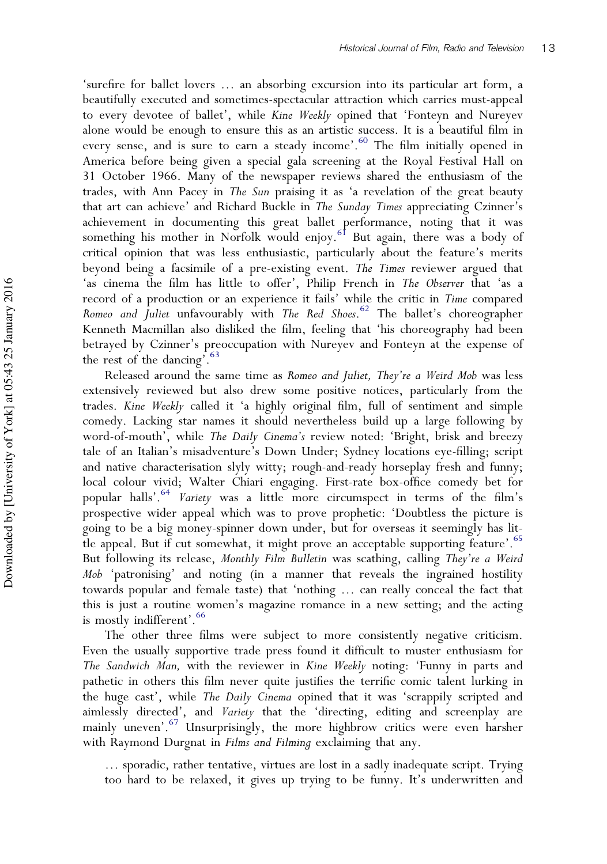'surefire for ballet lovers … an absorbing excursion into its particular art form, a beautifully executed and sometimes-spectacular attraction which carries must-appeal to every devotee of ballet', while *Kine Weekly* opined that 'Fonteyn and Nureyev alone would be enough to ensure this as an artistic success. It is a beautiful film in every sense, and is sure to earn a steady income'.<sup>60</sup> The film initially opened in America before being given a special gala screening at the Royal Festival Hall on 31 October 1966. Many of the newspaper reviews shared the enthusiasm of the trades, with Ann Pacey in *The Sun* praising it as 'a revelation of the great beauty that art can achieve' and Richard Buckle in *The Sunday Times* appreciating Czinner's achievement in documenting this great ballet performance, noting that it was something his mother in Norfolk would enjoy.<sup>61</sup> But again, there was a body of critical opinion that was less enthusiastic, particularly about the feature's merits beyond being a facsimile of a pre-existing event. *The Times* reviewer argued that 'as cinema the film has little to offer', Philip French in *The Observer* that 'as a record of a production or an experience it fails' while the critic in *Time* compared *Romeo and Juliet* unfavourably with *The Red Shoes*. <sup>62</sup> The ballet's choreographer Kenneth Macmillan also disliked the film, feeling that 'his choreography had been betrayed by Czinner's preoccupation with Nureyev and Fonteyn at the expense of the rest of the dancing<sup> $,63$ </sup>

Released around the same time as *Romeo and Juliet, They're a Weird Mob* was less extensively reviewed but also drew some positive notices, particularly from the trades. *Kine Weekly* called it 'a highly original film, full of sentiment and simple comedy. Lacking star names it should nevertheless build up a large following by word-of-mouth', while *The Daily Cinema's* review noted: 'Bright, brisk and breezy tale of an Italian's misadventure's Down Under; Sydney locations eye-filling; script and native characterisation slyly witty; rough-and-ready horseplay fresh and funny; local colour vivid; Walter Chiari engaging. First-rate box-office comedy bet for popular halls'.<sup>64</sup> *Variety* was a little more circumspect in terms of the film's prospective wider appeal which was to prove prophetic: 'Doubtless the picture is going to be a big money-spinner down under, but for overseas it seemingly has little appeal. But if cut somewhat, it might prove an acceptable supporting feature'.<sup>65</sup> But following its release, *Monthly Film Bulletin* was scathing, calling *They're a Weird Mob* 'patronising' and noting (in a manner that reveals the ingrained hostility towards popular and female taste) that 'nothing … can really conceal the fact that this is just a routine women's magazine romance in a new setting; and the acting is mostly indifferent'.<sup>66</sup>

The other three films were subject to more consistently negative criticism. Even the usually supportive trade press found it difficult to muster enthusiasm for *The Sandwich Man,* with the reviewer in *Kine Weekly* noting: 'Funny in parts and pathetic in others this film never quite justifies the terrific comic talent lurking in the huge cast', while *The Daily Cinema* opined that it was 'scrappily scripted and aimlessly directed', and *Variety* that the 'directing, editing and screenplay are mainly uneven'.<sup>67</sup> Unsurprisingly, the more highbrow critics were even harsher with Raymond Durgnat in *Films and Filming* exclaiming that any.

… sporadic, rather tentative, virtues are lost in a sadly inadequate script. Trying too hard to be relaxed, it gives up trying to be funny. It's underwritten and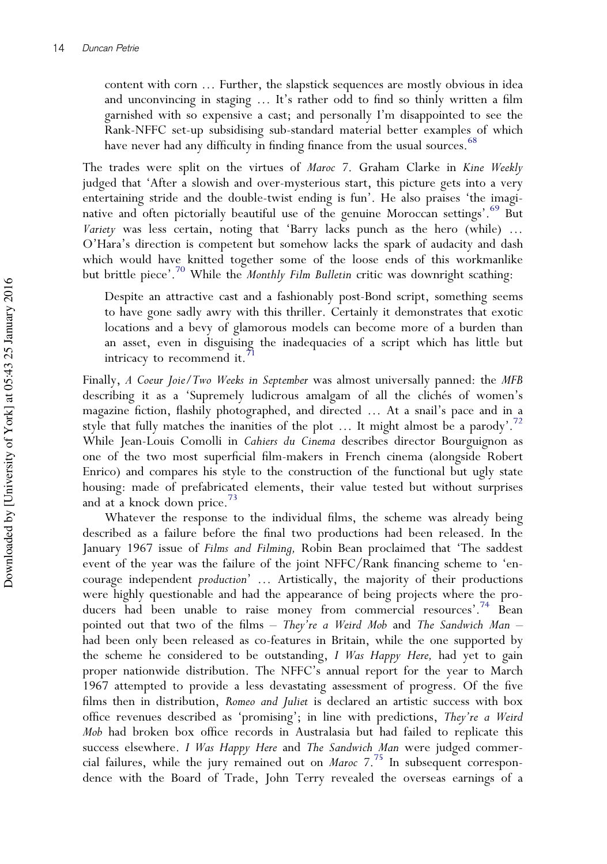content with corn … Further, the slapstick sequences are mostly obvious in idea and unconvincing in staging … It's rather odd to find so thinly written a film garnished with so expensive a cast; and personally I'm disappointed to see the Rank-NFFC set-up subsidising sub-standard material better examples of which have never had any difficulty in finding finance from the usual sources.<sup>68</sup>

The trades were split on the virtues of *Maroc 7*. Graham Clarke in *Kine Weekly* judged that 'After a slowish and over-mysterious start, this picture gets into a very entertaining stride and the double-twist ending is fun'. He also praises 'the imaginative and often pictorially beautiful use of the genuine Moroccan settings'.<sup>69</sup> But *Variety* was less certain, noting that 'Barry lacks punch as the hero (while) … O'Hara's direction is competent but somehow lacks the spark of audacity and dash which would have knitted together some of the loose ends of this workmanlike but brittle piece'.<sup>70</sup> While the *Monthly Film Bulletin* critic was downright scathing:

Despite an attractive cast and a fashionably post-Bond script, something seems to have gone sadly awry with this thriller. Certainly it demonstrates that exotic locations and a bevy of glamorous models can become more of a burden than an asset, even in disguising the inadequacies of a script which has little but intricacy to recommend it.

Finally, *A Coeur Joie/Two Weeks in September* was almost universally panned: the *MFB* describing it as a 'Supremely ludicrous amalgam of all the clichés of women's magazine fiction, flashily photographed, and directed … At a snail's pace and in a style that fully matches the inanities of the plot  $\ldots$  It might almost be a parody'.<sup>72</sup> While Jean-Louis Comolli in *Cahiers du Cinema* describes director Bourguignon as one of the two most superficial film-makers in French cinema (alongside Robert Enrico) and compares his style to the construction of the functional but ugly state housing: made of prefabricated elements, their value tested but without surprises and at a knock down price.<sup>73</sup>

Whatever the response to the individual films, the scheme was already being described as a failure before the final two productions had been released. In the January 1967 issue of *Films and Filming,* Robin Bean proclaimed that 'The saddest event of the year was the failure of the joint NFFC/Rank financing scheme to 'encourage independent *production*' … Artistically, the majority of their productions were highly questionable and had the appearance of being projects where the producers had been unable to raise money from commercial resources'.<sup>14</sup> Bean pointed out that two of the films – *They're a Weird Mob* and *The Sandwich Man* – had been only been released as co-features in Britain, while the one supported by the scheme he considered to be outstanding, *I Was Happy Here,* had yet to gain proper nationwide distribution. The NFFC's annual report for the year to March 1967 attempted to provide a less devastating assessment of progress. Of the five films then in distribution, *Romeo and Juliet* is declared an artistic success with box office revenues described as 'promising'; in line with predictions, *They're a Weird Mob* had broken box office records in Australasia but had failed to replicate this success elsewhere. *I Was Happy Here* and *The Sandwich Man* were judged commercial failures, while the jury remained out on *Maroc 7*. <sup>75</sup> In subsequent correspondence with the Board of Trade, John Terry revealed the overseas earnings of a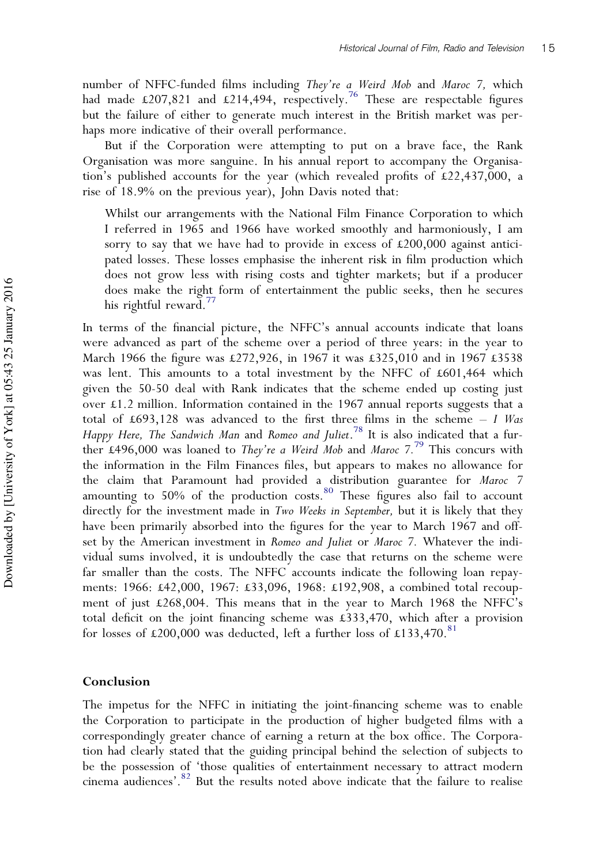number of NFFC-funded films including *They're a Weird Mob* and *Maroc 7,* which had made £207,821 and £214,494, respectively.<sup>76</sup> These are respectable figures but the failure of either to generate much interest in the British market was perhaps more indicative of their overall performance.

But if the Corporation were attempting to put on a brave face, the Rank Organisation was more sanguine. In his annual report to accompany the Organisation's published accounts for the year (which revealed profits of £22,437,000, a rise of 18.9% on the previous year), John Davis noted that:

Whilst our arrangements with the National Film Finance Corporation to which I referred in 1965 and 1966 have worked smoothly and harmoniously, I am sorry to say that we have had to provide in excess of £200,000 against anticipated losses. These losses emphasise the inherent risk in film production which does not grow less with rising costs and tighter markets; but if a producer does make the right form of entertainment the public seeks, then he secures his rightful reward.<sup>77</sup>

In terms of the financial picture, the NFFC's annual accounts indicate that loans were advanced as part of the scheme over a period of three years: in the year to March 1966 the figure was £272,926, in 1967 it was £325,010 and in 1967 £3538 was lent. This amounts to a total investment by the NFFC of £601,464 which given the 50-50 deal with Rank indicates that the scheme ended up costing just over  $\pounds$ 1.2 million. Information contained in the 1967 annual reports suggests that a total of £693,128 was advanced to the first three films in the scheme – *I Was Happy Here, The Sandwich Man* and *Romeo and Juliet*. <sup>78</sup> It is also indicated that a further £496,000 was loaned to *They're a Weird Mob* and *Maroc 7.*<sup>79</sup> This concurs with the information in the Film Finances files, but appears to makes no allowance for the claim that Paramount had provided a distribution guarantee for *Maroc 7* amounting to 50% of the production costs.<sup>80</sup> These figures also fail to account directly for the investment made in *Two Weeks in September,* but it is likely that they have been primarily absorbed into the figures for the year to March 1967 and offset by the American investment in *Romeo and Juliet* or *Maroc 7.* Whatever the individual sums involved, it is undoubtedly the case that returns on the scheme were far smaller than the costs. The NFFC accounts indicate the following loan repayments: 1966: £42,000, 1967: £33,096, 1968: £192,908, a combined total recoupment of just £268,004. This means that in the year to March 1968 the NFFC's total deficit on the joint financing scheme was £333,470, which after a provision for losses of £200,000 was deducted, left a further loss of £133,470.<sup>81</sup>

#### Conclusion

The impetus for the NFFC in initiating the joint-financing scheme was to enable the Corporation to participate in the production of higher budgeted films with a correspondingly greater chance of earning a return at the box office. The Corporation had clearly stated that the guiding principal behind the selection of subjects to be the possession of 'those qualities of entertainment necessary to attract modern cinema audiences'.<sup>82</sup> But the results noted above indicate that the failure to realise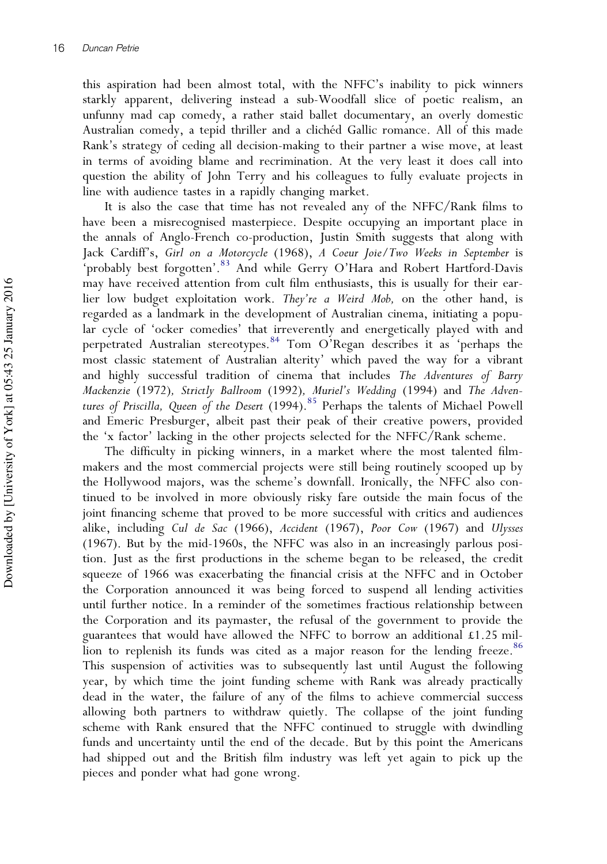this aspiration had been almost total, with the NFFC's inability to pick winners starkly apparent, delivering instead a sub-Woodfall slice of poetic realism, an unfunny mad cap comedy, a rather staid ballet documentary, an overly domestic Australian comedy, a tepid thriller and a clichéd Gallic romance. All of this made Rank's strategy of ceding all decision-making to their partner a wise move, at least in terms of avoiding blame and recrimination. At the very least it does call into question the ability of John Terry and his colleagues to fully evaluate projects in line with audience tastes in a rapidly changing market.

It is also the case that time has not revealed any of the NFFC/Rank films to have been a misrecognised masterpiece. Despite occupying an important place in the annals of Anglo-French co-production, Justin Smith suggests that along with Jack Cardiff's, *Girl on a Motorcycle* (1968), *A Coeur Joie/Two Weeks in September* is 'probably best forgotten'.<sup>83</sup> And while Gerry O'Hara and Robert Hartford-Davis may have received attention from cult film enthusiasts, this is usually for their earlier low budget exploitation work. *They're a Weird Mob,* on the other hand, is regarded as a landmark in the development of Australian cinema, initiating a popular cycle of 'ocker comedies' that irreverently and energetically played with and perpetrated Australian stereotypes.<sup>84</sup> Tom O'Regan describes it as 'perhaps the most classic statement of Australian alterity' which paved the way for a vibrant and highly successful tradition of cinema that includes *The Adventures of Barry Mackenzie* (1972)*, Strictly Ballroom* (1992)*, Muriel's Wedding* (1994) and *The Adven*tures of Priscilla, Queen of the Desert (1994).<sup>85</sup> Perhaps the talents of Michael Powell and Emeric Presburger, albeit past their peak of their creative powers, provided the 'x factor' lacking in the other projects selected for the NFFC/Rank scheme.

The difficulty in picking winners, in a market where the most talented filmmakers and the most commercial projects were still being routinely scooped up by the Hollywood majors, was the scheme's downfall. Ironically, the NFFC also continued to be involved in more obviously risky fare outside the main focus of the joint financing scheme that proved to be more successful with critics and audiences alike, including *Cul de Sac* (1966), *Accident* (1967), *Poor Cow* (1967) and *Ulysses* (1967). But by the mid-1960s, the NFFC was also in an increasingly parlous position. Just as the first productions in the scheme began to be released, the credit squeeze of 1966 was exacerbating the financial crisis at the NFFC and in October the Corporation announced it was being forced to suspend all lending activities until further notice. In a reminder of the sometimes fractious relationship between the Corporation and its paymaster, the refusal of the government to provide the guarantees that would have allowed the NFFC to borrow an additional  $\pounds$ 1.25 million to replenish its funds was cited as a major reason for the lending freeze.<sup>86</sup> This suspension of activities was to subsequently last until August the following year, by which time the joint funding scheme with Rank was already practically dead in the water, the failure of any of the films to achieve commercial success allowing both partners to withdraw quietly. The collapse of the joint funding scheme with Rank ensured that the NFFC continued to struggle with dwindling funds and uncertainty until the end of the decade. But by this point the Americans had shipped out and the British film industry was left yet again to pick up the pieces and ponder what had gone wrong.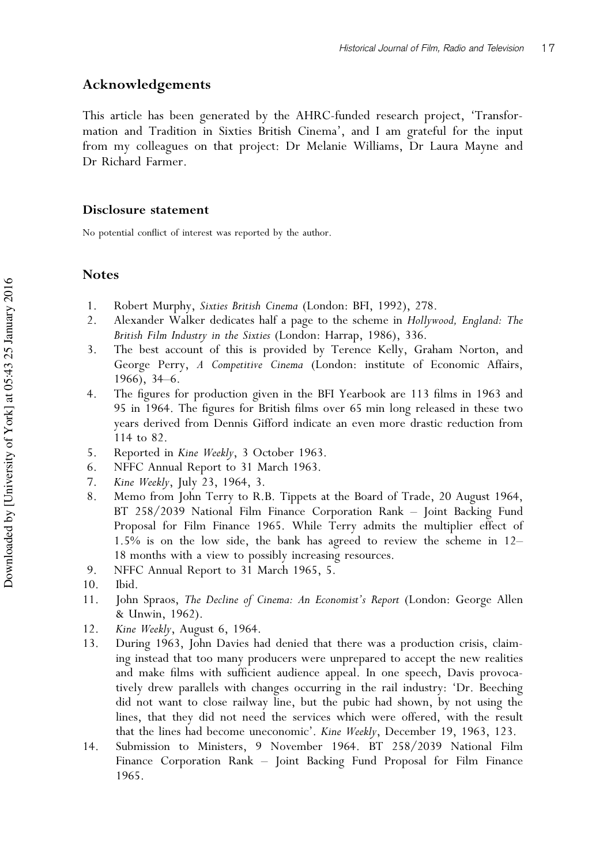#### Acknowledgements

This article has been generated by the AHRC-funded research project, 'Transformation and Tradition in Sixties British Cinema', and I am grateful for the input from my colleagues on that project: Dr Melanie Williams, Dr Laura Mayne and Dr Richard Farmer.

#### Disclosure statement

No potential conflict of interest was reported by the author.

#### Notes

- 1. Robert Murphy, *Sixties British Cinema* (London: BFI, 1992), 278.
- 2. Alexander Walker dedicates half a page to the scheme in *Hollywood, England: The British Film Industry in the Sixties* (London: Harrap, 1986), 336.
- 3. The best account of this is provided by Terence Kelly, Graham Norton, and George Perry, *A Competitive Cinema* (London: institute of Economic Affairs, 1966), 34–6.
- 4. The figures for production given in the BFI Yearbook are 113 films in 1963 and 95 in 1964. The figures for British films over 65 min long released in these two years derived from Dennis Gifford indicate an even more drastic reduction from 114 to 82.
- 5. Reported in *Kine Weekly*, 3 October 1963.
- 6. NFFC Annual Report to 31 March 1963.
- 7. *Kine Weekly*, July 23, 1964, 3.
- 8. Memo from John Terry to R.B. Tippets at the Board of Trade, 20 August 1964, BT 258/2039 National Film Finance Corporation Rank – Joint Backing Fund Proposal for Film Finance 1965. While Terry admits the multiplier effect of 1.5% is on the low side, the bank has agreed to review the scheme in 12– 18 months with a view to possibly increasing resources.
- 9. NFFC Annual Report to 31 March 1965, 5.
- 10. Ibid.
- 11. John Spraos, *The Decline of Cinema: An Economist's Report* (London: George Allen & Unwin, 1962).
- 12. *Kine Weekly*, August 6, 1964.
- 13. During 1963, John Davies had denied that there was a production crisis, claiming instead that too many producers were unprepared to accept the new realities and make films with sufficient audience appeal. In one speech, Davis provocatively drew parallels with changes occurring in the rail industry: 'Dr. Beeching did not want to close railway line, but the pubic had shown, by not using the lines, that they did not need the services which were offered, with the result that the lines had become uneconomic'. *Kine Weekly*, December 19, 1963, 123.
- 14. Submission to Ministers, 9 November 1964. BT 258/2039 National Film Finance Corporation Rank – Joint Backing Fund Proposal for Film Finance 1965.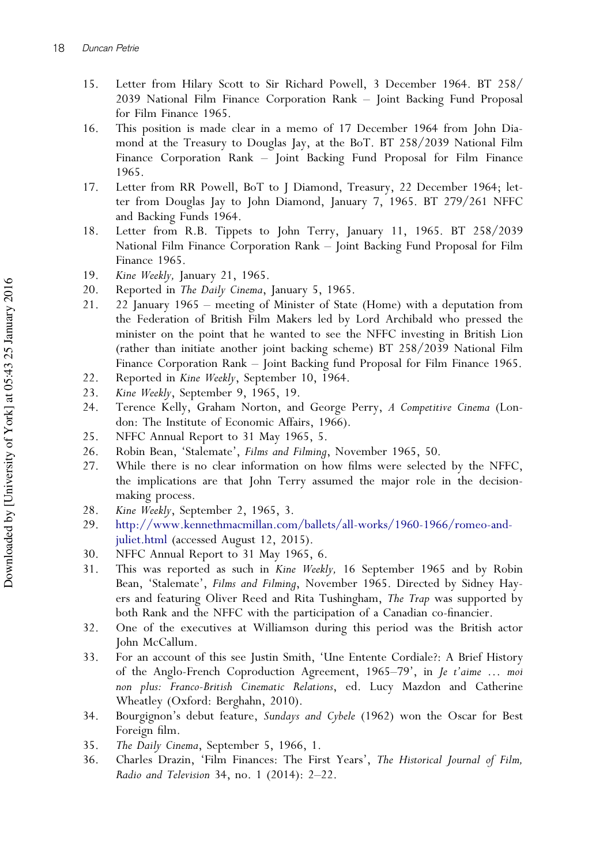- 15. Letter from Hilary Scott to Sir Richard Powell, 3 December 1964. BT 258/ 2039 National Film Finance Corporation Rank – Joint Backing Fund Proposal for Film Finance 1965.
- 16. This position is made clear in a memo of 17 December 1964 from John Diamond at the Treasury to Douglas Jay, at the BoT. BT 258/2039 National Film Finance Corporation Rank – Joint Backing Fund Proposal for Film Finance 1965.
- 17. Letter from RR Powell, BoT to J Diamond, Treasury, 22 December 1964; letter from Douglas Jay to John Diamond, January 7, 1965. BT 279/261 NFFC and Backing Funds 1964.
- 18. Letter from R.B. Tippets to John Terry, January 11, 1965. BT 258/2039 National Film Finance Corporation Rank – Joint Backing Fund Proposal for Film Finance 1965.
- 19. *Kine Weekly,* January 21, 1965.
- 20. Reported in *The Daily Cinema*, January 5, 1965.
- 21. 22 January 1965 meeting of Minister of State (Home) with a deputation from the Federation of British Film Makers led by Lord Archibald who pressed the minister on the point that he wanted to see the NFFC investing in British Lion (rather than initiate another joint backing scheme) BT 258/2039 National Film Finance Corporation Rank – Joint Backing fund Proposal for Film Finance 1965.
- 22. Reported in *Kine Weekly*, September 10, 1964.
- 23. *Kine Weekly*, September 9, 1965, 19.
- 24. Terence Kelly, Graham Norton, and George Perry, *A Competitive Cinema* (London: The Institute of Economic Affairs, 1966).
- 25. NFFC Annual Report to 31 May 1965, 5.
- 26. Robin Bean, 'Stalemate', *Films and Filming*, November 1965, 50.
- 27. While there is no clear information on how films were selected by the NFFC, the implications are that John Terry assumed the major role in the decisionmaking process.
- 28. *Kine Weekly*, September 2, 1965, 3.
- 29. http://www.kennethmacmillan.com/ballets/all-works/1960-1966/romeo-andjuliet.html (accessed August 12, 2015).
- 30. NFFC Annual Report to 31 May 1965, 6.
- 31. This was reported as such in *Kine Weekly,* 16 September 1965 and by Robin Bean, 'Stalemate', *Films and Filming*, November 1965. Directed by Sidney Hayers and featuring Oliver Reed and Rita Tushingham, *The Trap* was supported by both Rank and the NFFC with the participation of a Canadian co-financier.
- 32. One of the executives at Williamson during this period was the British actor John McCallum.
- 33. For an account of this see Justin Smith, 'Une Entente Cordiale?: A Brief History of the Anglo-French Coproduction Agreement, 1965–79', in *Je t'aime* … *moi non plus: Franco*-*British Cinematic Relations*, ed. Lucy Mazdon and Catherine Wheatley (Oxford: Berghahn, 2010).
- 34. Bourgignon's debut feature, *Sundays and Cybele* (1962) won the Oscar for Best Foreign film.
- 35. *The Daily Cinema*, September 5, 1966, 1.
- 36. Charles Drazin, 'Film Finances: The First Years', *The Historical Journal of Film, Radio and Television* 34, no. 1 (2014): 2–22.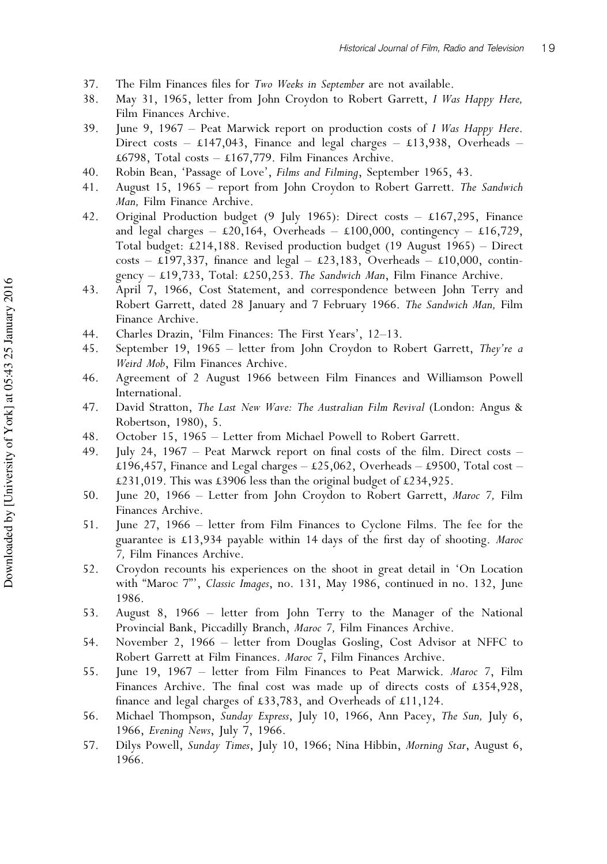- 37. The Film Finances files for *Two Weeks in September* are not available.
- 38. May 31, 1965, letter from John Croydon to Robert Garrett, *I Was Happy Here,* Film Finances Archive.
- 39. June 9, 1967 Peat Marwick report on production costs of *I Was Happy Here*. Direct costs – £147,043, Finance and legal charges – £13,938, Overheads – £6798, Total costs – £167,779. Film Finances Archive.
- 40. Robin Bean, 'Passage of Love', *Films and Filming*, September 1965, 43.
- 41. August 15, 1965 report from John Croydon to Robert Garrett. *The Sandwich Man,* Film Finance Archive.
- 42. Original Production budget (9 July 1965): Direct costs £167,295, Finance and legal charges –  $\text{\pounds}20,164$ , Overheads –  $\text{\pounds}100,000$ , contingency –  $\text{\pounds}16,729$ , Total budget: £214,188. Revised production budget (19 August 1965) – Direct costs – £197,337, finance and legal – £23,183, Overheads – £10,000, contingency – £19,733, Total: £250,253. *The Sandwich Man*, Film Finance Archive.
- 43. April 7, 1966, Cost Statement, and correspondence between John Terry and Robert Garrett, dated 28 January and 7 February 1966. *The Sandwich Man,* Film Finance Archive.
- 44. Charles Drazin, 'Film Finances: The First Years', 12–13.
- 45. September 19, 1965 letter from John Croydon to Robert Garrett, *They're a Weird Mob*, Film Finances Archive.
- 46. Agreement of 2 August 1966 between Film Finances and Williamson Powell International.
- 47. David Stratton, *The Last New Wave: The Australian Film Revival* (London: Angus & Robertson, 1980), 5.
- 48. October 15, 1965 Letter from Michael Powell to Robert Garrett.
- 49. July 24, 1967 Peat Marwck report on final costs of the film. Direct costs £196,457, Finance and Legal charges  $-$  £25,062, Overheads  $-$  £9500, Total cost  $-$ £231,019. This was £3906 less than the original budget of £234,925.
- 50. June 20, 1966 Letter from John Croydon to Robert Garrett, *Maroc 7,* Film Finances Archive.
- 51. June 27, 1966 letter from Film Finances to Cyclone Films. The fee for the guarantee is £13,934 payable within 14 days of the first day of shooting. *Maroc 7,* Film Finances Archive.
- 52. Croydon recounts his experiences on the shoot in great detail in 'On Location with "Maroc 7"', *Classic Images*, no. 131, May 1986, continued in no. 132, June 1986.
- 53. August 8, 1966 letter from John Terry to the Manager of the National Provincial Bank, Piccadilly Branch, *Maroc 7,* Film Finances Archive.
- 54. November 2, 1966 letter from Douglas Gosling, Cost Advisor at NFFC to Robert Garrett at Film Finances. *Maroc 7*, Film Finances Archive.
- 55. June 19, 1967 letter from Film Finances to Peat Marwick. *Maroc 7*, Film Finances Archive. The final cost was made up of directs costs of  $\pounds$ 354,928, finance and legal charges of £33,783, and Overheads of £11,124.
- 56. Michael Thompson, *Sunday Express*, July 10, 1966, Ann Pacey, *The Sun,* July 6, 1966, *Evening News*, July 7, 1966.
- 57. Dilys Powell, *Sunday Times*, July 10, 1966; Nina Hibbin, *Morning Star*, August 6, 1966.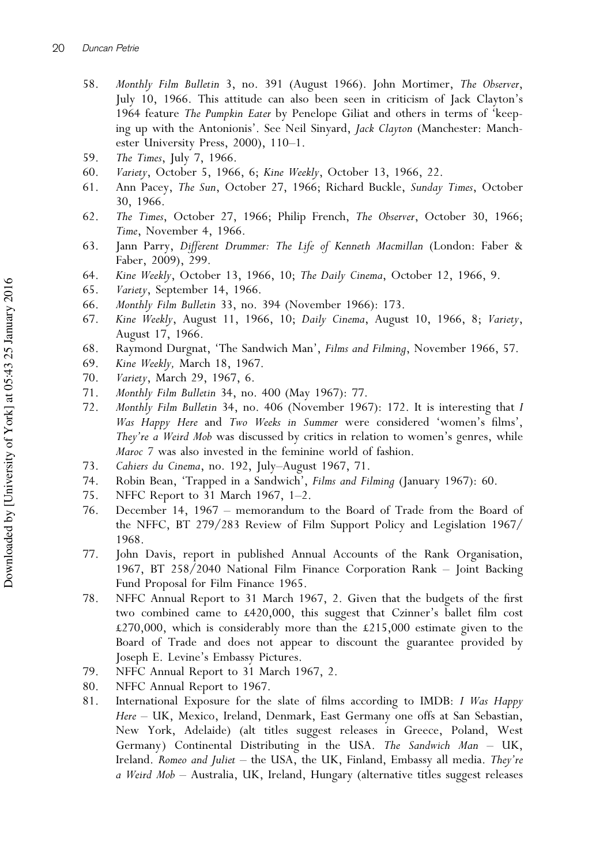- 58. *Monthly Film Bulletin* 3, no. 391 (August 1966). John Mortimer, *The Observer*, July 10, 1966. This attitude can also been seen in criticism of Jack Clayton's 1964 feature *The Pumpkin Eater* by Penelope Giliat and others in terms of 'keeping up with the Antonionis'. See Neil Sinyard, *Jack Clayton* (Manchester: Manchester University Press, 2000), 110–1.
- 59. *The Times*, July 7, 1966.
- 60. *Variety*, October 5, 1966, 6; *Kine Weekly*, October 13, 1966, 22.
- 61. Ann Pacey, *The Sun*, October 27, 1966; Richard Buckle, *Sunday Times*, October 30, 1966.
- 62. *The Times*, October 27, 1966; Philip French, *The Observer*, October 30, 1966; *Time*, November 4, 1966.
- 63. Jann Parry, *Different Drummer: The Life of Kenneth Macmillan* (London: Faber & Faber, 2009), 299.
- 64. *Kine Weekly*, October 13, 1966, 10; *The Daily Cinema*, October 12, 1966, 9.
- 65. *Variety*, September 14, 1966.
- 66. *Monthly Film Bulletin* 33, no. 394 (November 1966): 173.
- 67. *Kine Weekly*, August 11, 1966, 10; *Daily Cinema*, August 10, 1966, 8; *Variety*, August 17, 1966.
- 68. Raymond Durgnat, 'The Sandwich Man', *Films and Filming*, November 1966, 57.
- 69. *Kine Weekly,* March 18, 1967.
- 70. *Variety*, March 29, 1967, 6.
- 71. *Monthly Film Bulletin* 34, no. 400 (May 1967): 77.
- 72. *Monthly Film Bulletin* 34, no. 406 (November 1967): 172. It is interesting that *I Was Happy Here* and *Two Weeks in Summer* were considered 'women's films', *They're a Weird Mob* was discussed by critics in relation to women's genres, while *Maroc 7* was also invested in the feminine world of fashion.
- 73. *Cahiers du Cinema*, no. 192, July–August 1967, 71.
- 74. Robin Bean, 'Trapped in a Sandwich', *Films and Filming* (January 1967): 60.
- 75. NFFC Report to 31 March 1967, 1–2.
- 76. December 14, 1967 memorandum to the Board of Trade from the Board of the NFFC, BT 279/283 Review of Film Support Policy and Legislation 1967/ 1968.
- 77. John Davis, report in published Annual Accounts of the Rank Organisation, 1967, BT 258/2040 National Film Finance Corporation Rank – Joint Backing Fund Proposal for Film Finance 1965.
- 78. NFFC Annual Report to 31 March 1967, 2. Given that the budgets of the first two combined came to £420,000, this suggest that Czinner's ballet film cost  $£270,000$ , which is considerably more than the £215,000 estimate given to the Board of Trade and does not appear to discount the guarantee provided by Joseph E. Levine's Embassy Pictures.
- 79. NFFC Annual Report to 31 March 1967, 2.
- 80. NFFC Annual Report to 1967.
- 81. International Exposure for the slate of films according to IMDB: *I Was Happy Here* – UK, Mexico, Ireland, Denmark, East Germany one offs at San Sebastian, New York, Adelaide) (alt titles suggest releases in Greece, Poland, West Germany) Continental Distributing in the USA. *The Sandwich Man* – UK, Ireland. *Romeo and Juliet* – the USA, the UK, Finland, Embassy all media. *They're a Weird Mob* – Australia, UK, Ireland, Hungary (alternative titles suggest releases